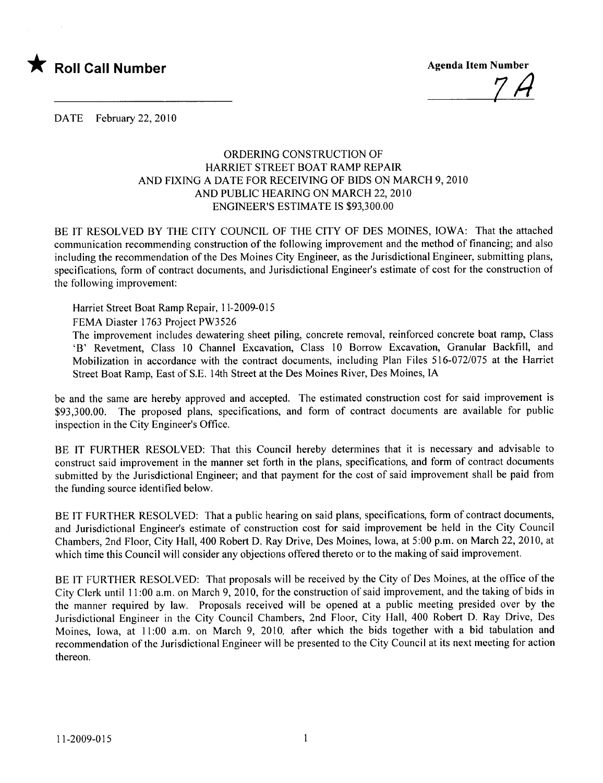

74

DATE February 22, 2010

## ORDERIG CONSTRUCTION OF HARRET STREET BOAT RAMP REPAIR AND FIXING A DATE FOR RECEIVING OF BIDS ON MARCH 9, 2010 AND PUBLIC HEARING ON MARCH 22, 2010 ENGINEER'S ESTIMATE IS \$93,300.00

BE IT RESOLVED BY THE CITY COUNCIL OF THE CITY OF DES MOINES, IOWA: That the attached communication recommending construction of the following improvement and the method of financing; and also including the recommendation of the Des Moines City Engineer, as the Jurisdictional Engineer, submitting plans, specifications, form of contract documents, and Jurisdictional Engineer's estimate of cost for the construction of the following improvement:

Harriet Street Boat Ramp Repair, 11-2009-015

FEMA Diaster 1763 Project PW3526

The improvement includes dewatering sheet piling, concrete removal, reinforced concrete boat ramp, Class 'B' Revetment, Class 10 Channel Excavation, Class 10 Borrow Excavation, Granular Backfill, and Mobilization in accordance with the contract documents, including Plan Files 516-072/075 at the Harriet Street Boat Ramp, East of S.E. 14th Street at the Des Moines River, Des Moines, IA

be and the same are hereby approved and accepted. The estimated construction cost for said improvement is \$93,300.00. The proposed plans, specifications, and form of contract documents are available for public inspection in the City Engineer's Office.

BE IT FURTHER RESOLVED: That this Council hereby determines that it is necessary and advisable to construct said improvement in the manner set forth in the plans, specifications, and form of contract documents submitted by the Jurisdictional Engineer; and that payment for the cost of said improvement shall be paid from the funding source identified below.

BE IT FURTHER RESOLVED: That a public hearing on said plans, specifications, form of contract documents, and Jurisdictional Engineer's estimate of construction cost for said improvement be held in the City Council Chambers, 2nd Floor, City Hall, 400 Robert D. Ray Drive, Des Moines, Iowa, at 5:00 p.m. on March 22,2010, at which time this Council will consider any objections offered thereto or to the making of said improvement.

BE IT FURTHER RESOLVED: That proposals will be received by the City of Des Moines, at the office of the City Clerk until 11:00 a.m. on March 9, 2010, for the construction of said improvement, and the taking of bids in the manner required by law. Proposals received will be opened at a public meeting presided over by the Jurisdictional Engineer in the City Council Chambers, 2nd Floor, City Hall, 400 Robert D. Ray Drive, Des Moines, Iowa, at 11:00 a.m. on March 9, 2010, after which the bids together with a bid tabulation and recommendation of the Jurisdictional Engineer will be presented to the City Council at its next meeting for action thereon.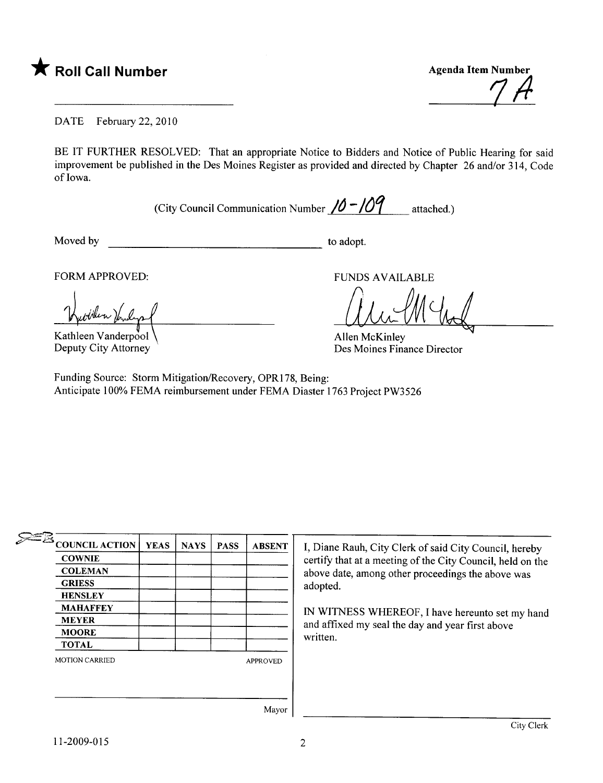

DATE February 22, 2010

BE IT FURTHER RESOLVED: That an appropriate Notice to Bidders and Notice of Public Hearing for said improvement be published in the Des Moines Register as provided and directed by Chapter 26 and/or 314, Code of Iowa.

(City Council Communication Number  $/0$  -/09 attached.)

Moved by to adopt.

fillen )fr

Kathleen Vanderpool Deputy City Attorney

FORM APPROVED: FUNDS AVAILABLE

Allen McKinley

Allen McKinley Des Moines Finance Director

Funding Source: Storm Mitigation/Recovery, OPR178, Being: Anticipate 100% FEMA reimbursement under FEMA Diaster 1763 Project PW3526

| $\equiv \equiv \equiv 2$ COUNCIL ACTION | <b>YEAS</b> | <b>NAYS</b> | <b>PASS</b> | <b>ABSENT</b>   |
|-----------------------------------------|-------------|-------------|-------------|-----------------|
| <b>COWNIE</b>                           |             |             |             |                 |
| <b>COLEMAN</b>                          |             |             |             |                 |
| <b>GRIESS</b>                           |             |             |             |                 |
| <b>HENSLEY</b>                          |             |             |             |                 |
| <b>MAHAFFEY</b>                         |             |             |             |                 |
| <b>MEYER</b>                            |             |             |             |                 |
| <b>MOORE</b>                            |             |             |             |                 |
| <b>TOTAL</b>                            |             |             |             |                 |
| <b>MOTION CARRIED</b>                   |             |             |             | <b>APPROVED</b> |
|                                         |             |             |             |                 |
|                                         |             |             |             |                 |
|                                         |             |             |             | Mayor           |

I, Diane Rauh, City Clerk of said City Council, hereby certify that at a meeting of the City Council, held on the above date, among other proceedings the above was adopted.

IN WITNESS WHEREOF, I have hereunto set my hand and affixed my seal the day and year first above written.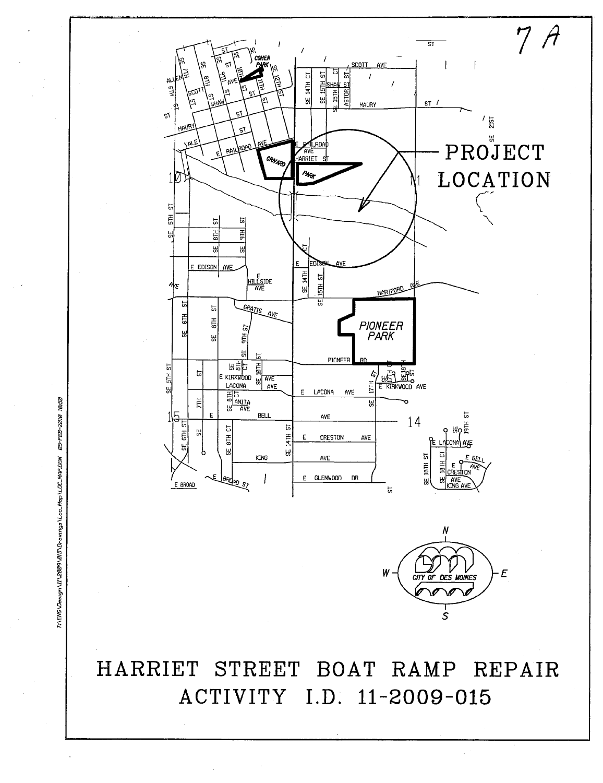